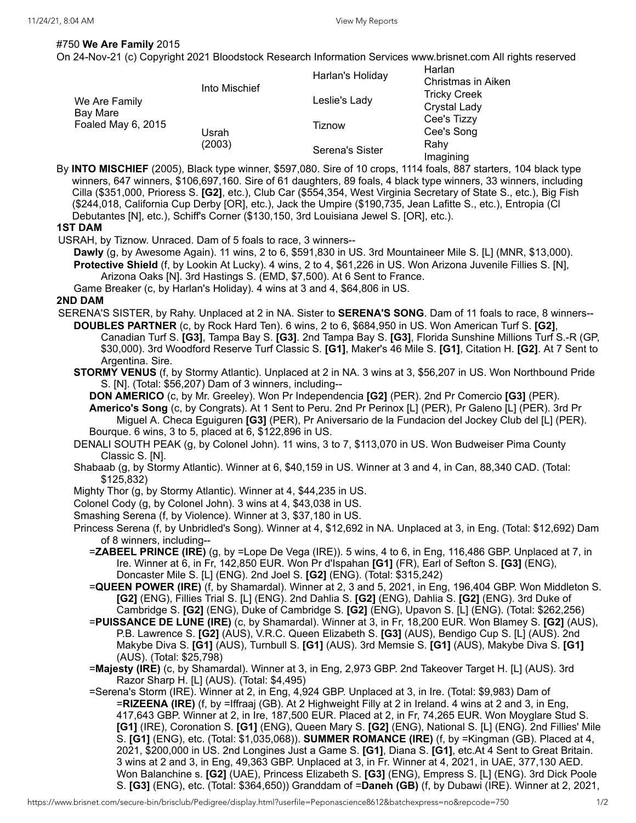## #750 **We Are Family** 2015

On 24-Nov-21 (c) Copyright 2021 Bloodstock Research Information Services www.brisnet.com All rights reserved

| We Are Family<br>Bay Mare<br>Foaled May 6, 2015 | Into Mischief   | Harlan's Holiday | Harlan<br>Christmas in Aiken<br><b>Tricky Creek</b><br><b>Crystal Lady</b> |
|-------------------------------------------------|-----------------|------------------|----------------------------------------------------------------------------|
|                                                 |                 | Leslie's Lady    |                                                                            |
|                                                 | Usrah<br>(2003) | Tiznow           | Cee's Tizzy<br>Cee's Song                                                  |
|                                                 |                 | Serena's Sister  | Rahv<br>Imagining                                                          |

By **INTO MISCHIEF** (2005), Black type winner, \$597,080. Sire of 10 crops, 1114 foals, 887 starters, 104 black type winners, 647 winners, \$106,697,160. Sire of 61 daughters, 89 foals, 4 black type winners, 33 winners, including Cilla (\$351,000, Prioress S. **[G2]**, etc.), Club Car (\$554,354, West Virginia Secretary of State S., etc.), Big Fish (\$244,018, California Cup Derby [OR], etc.), Jack the Umpire (\$190,735, Jean Lafitte S., etc.), Entropia (Cl Debutantes [N], etc.), Schiff's Corner (\$130,150, 3rd Louisiana Jewel S. [OR], etc.).

## **1ST DAM**

USRAH, by Tiznow. Unraced. Dam of 5 foals to race, 3 winners--

**Dawly** (g, by Awesome Again). 11 wins, 2 to 6, \$591,830 in US. 3rd Mountaineer Mile S. [L] (MNR, \$13,000). **Protective Shield** (f, by Lookin At Lucky). 4 wins, 2 to 4, \$61,226 in US. Won Arizona Juvenile Fillies S. [N], Arizona Oaks [N]. 3rd Hastings S. (EMD, \$7,500). At 6 Sent to France.

Game Breaker (c, by Harlan's Holiday). 4 wins at 3 and 4, \$64,806 in US.

## **2ND DAM**

- SERENA'S SISTER, by Rahy. Unplaced at 2 in NA. Sister to **SERENA'S SONG**. Dam of 11 foals to race, 8 winners-- **DOUBLES PARTNER** (c, by Rock Hard Ten). 6 wins, 2 to 6, \$684,950 in US. Won American Turf S. **[G2]**, Canadian Turf S. **[G3]**, Tampa Bay S. **[G3]**. 2nd Tampa Bay S. **[G3]**, Florida Sunshine Millions Turf S.-R (GP,
	- \$30,000). 3rd Woodford Reserve Turf Classic S. **[G1]**, Maker's 46 Mile S. **[G1]**, Citation H. **[G2]**. At 7 Sent to Argentina. Sire.
	- **STORMY VENUS** (f, by Stormy Atlantic). Unplaced at 2 in NA. 3 wins at 3, \$56,207 in US. Won Northbound Pride S. [N]. (Total: \$56,207) Dam of 3 winners, including--
		- **DON AMERICO** (c, by Mr. Greeley). Won Pr Independencia **[G2]** (PER). 2nd Pr Comercio **[G3]** (PER).

**Americo's Song** (c, by Congrats). At 1 Sent to Peru. 2nd Pr Perinox [L] (PER), Pr Galeno [L] (PER). 3rd Pr Miguel A. Checa Eguiguren **[G3]** (PER), Pr Aniversario de la Fundacion del Jockey Club del [L] (PER). Bourque. 6 wins, 3 to 5, placed at 6, \$122,896 in US.

DENALI SOUTH PEAK (g, by Colonel John). 11 wins, 3 to 7, \$113,070 in US. Won Budweiser Pima County Classic S. [N].

- Shabaab (g, by Stormy Atlantic). Winner at 6, \$40,159 in US. Winner at 3 and 4, in Can, 88,340 CAD. (Total: \$125,832)
- Mighty Thor (g, by Stormy Atlantic). Winner at 4, \$44,235 in US.
- Colonel Cody (g, by Colonel John). 3 wins at 4, \$43,038 in US.
- Smashing Serena (f, by Violence). Winner at 3, \$37,180 in US.
- Princess Serena (f, by Unbridled's Song). Winner at 4, \$12,692 in NA. Unplaced at 3, in Eng. (Total: \$12,692) Dam of 8 winners, including--
	- =**ZABEEL PRINCE (IRE)** (g, by =Lope De Vega (IRE)). 5 wins, 4 to 6, in Eng, 116,486 GBP. Unplaced at 7, in Ire. Winner at 6, in Fr, 142,850 EUR. Won Pr d'Ispahan **[G1]** (FR), Earl of Sefton S. **[G3]** (ENG), Doncaster Mile S. [L] (ENG). 2nd Joel S. **[G2]** (ENG). (Total: \$315,242)
	- =**QUEEN POWER (IRE)** (f, by Shamardal). Winner at 2, 3 and 5, 2021, in Eng, 196,404 GBP. Won Middleton S. **[G2]** (ENG), Fillies Trial S. [L] (ENG). 2nd Dahlia S. **[G2]** (ENG), Dahlia S. **[G2]** (ENG). 3rd Duke of Cambridge S. **[G2]** (ENG), Duke of Cambridge S. **[G2]** (ENG), Upavon S. [L] (ENG). (Total: \$262,256)
	- =**PUISSANCE DE LUNE (IRE)** (c, by Shamardal). Winner at 3, in Fr, 18,200 EUR. Won Blamey S. **[G2]** (AUS), P.B. Lawrence S. **[G2]** (AUS), V.R.C. Queen Elizabeth S. **[G3]** (AUS), Bendigo Cup S. [L] (AUS). 2nd Makybe Diva S. **[G1]** (AUS), Turnbull S. **[G1]** (AUS). 3rd Memsie S. **[G1]** (AUS), Makybe Diva S. **[G1]** (AUS). (Total: \$25,798)
	- =**Majesty (IRE)** (c, by Shamardal). Winner at 3, in Eng, 2,973 GBP. 2nd Takeover Target H. [L] (AUS). 3rd Razor Sharp H. [L] (AUS). (Total: \$4,495)
	- =Serena's Storm (IRE). Winner at 2, in Eng, 4,924 GBP. Unplaced at 3, in Ire. (Total: \$9,983) Dam of =**RIZEENA (IRE)** (f, by =Iffraaj (GB). At 2 Highweight Filly at 2 in Ireland. 4 wins at 2 and 3, in Eng, 417,643 GBP. Winner at 2, in Ire, 187,500 EUR. Placed at 2, in Fr, 74,265 EUR. Won Moyglare Stud S. **[G1]** (IRE), Coronation S. **[G1]** (ENG), Queen Mary S. **[G2]** (ENG), National S. [L] (ENG). 2nd Fillies' Mile S. **[G1]** (ENG), etc. (Total: \$1,035,068)). **SUMMER ROMANCE (IRE)** (f, by =Kingman (GB). Placed at 4, 2021, \$200,000 in US. 2nd Longines Just a Game S. **[G1]**, Diana S. **[G1]**, etc.At 4 Sent to Great Britain. 3 wins at 2 and 3, in Eng, 49,363 GBP. Unplaced at 3, in Fr. Winner at 4, 2021, in UAE, 377,130 AED. Won Balanchine s. **[G2]** (UAE), Princess Elizabeth S. **[G3]** (ENG), Empress S. [L] (ENG). 3rd Dick Poole S. **[G3]** (ENG), etc. (Total: \$364,650)) Granddam of =**Daneh (GB)** (f, by Dubawi (IRE). Winner at 2, 2021,